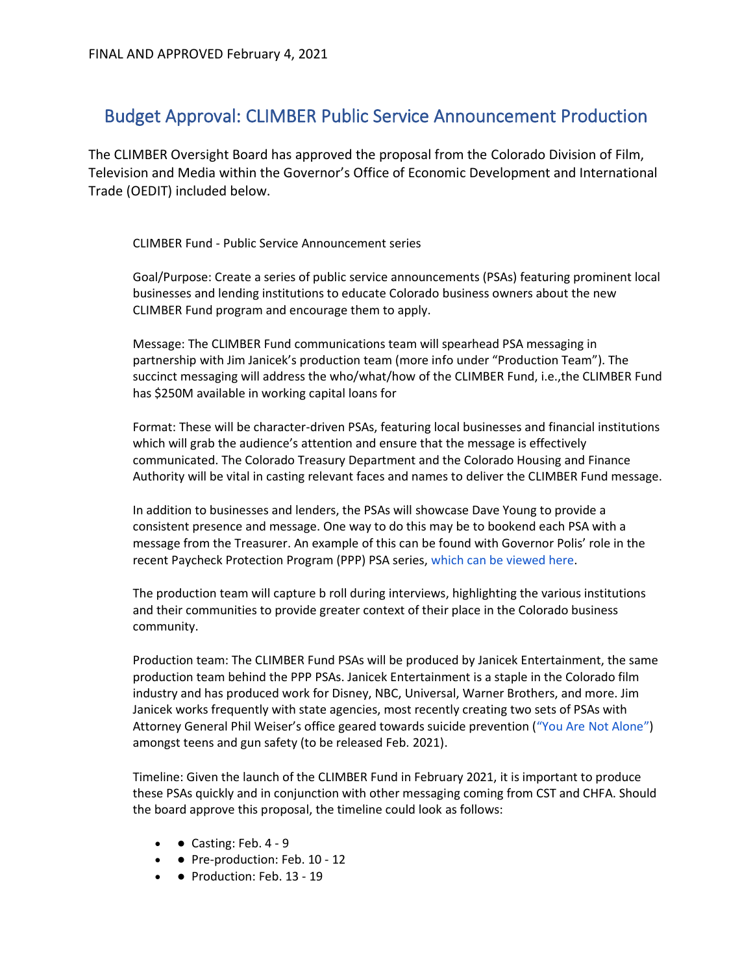## Budget Approval: CLIMBER Public Service Announcement Production

The CLIMBER Oversight Board has approved the proposal from the Colorado Division of Film, Television and Media within the Governor's Office of Economic Development and International Trade (OEDIT) included below.

CLIMBER Fund - Public Service Announcement series

Goal/Purpose: Create a series of public service announcements (PSAs) featuring prominent local businesses and lending institutions to educate Colorado business owners about the new CLIMBER Fund program and encourage them to apply.

Message: The CLIMBER Fund communications team will spearhead PSA messaging in partnership with Jim Janicek's production team (more info under "Production Team"). The succinct messaging will address the who/what/how of the CLIMBER Fund, i.e.,the CLIMBER Fund has \$250M available in working capital loans for

Format: These will be character-driven PSAs, featuring local businesses and financial institutions which will grab the audience's attention and ensure that the message is effectively communicated. The Colorado Treasury Department and the Colorado Housing and Finance Authority will be vital in casting relevant faces and names to deliver the CLIMBER Fund message.

In addition to businesses and lenders, the PSAs will showcase Dave Young to provide a consistent presence and message. One way to do this may be to bookend each PSA with a message from the Treasurer. An example of this can be found with Governor Polis' role in the recent Paycheck Protection Program (PPP) PSA series, which can be viewed here.

The production team will capture b roll during interviews, highlighting the various institutions and their communities to provide greater context of their place in the Colorado business community.

Production team: The CLIMBER Fund PSAs will be produced by Janicek Entertainment, the same production team behind the PPP PSAs. Janicek Entertainment is a staple in the Colorado film industry and has produced work for Disney, NBC, Universal, Warner Brothers, and more. Jim Janicek works frequently with state agencies, most recently creating two sets of PSAs with Attorney General Phil Weiser's office geared towards suicide prevention ("You Are Not Alone") amongst teens and gun safety (to be released Feb. 2021).

Timeline: Given the launch of the CLIMBER Fund in February 2021, it is important to produce these PSAs quickly and in conjunction with other messaging coming from CST and CHFA. Should the board approve this proposal, the timeline could look as follows:

- $\bullet$   $\bullet$  Casting: Feb. 4 9
- • Pre-production: Feb. 10 12
- • Production: Feb. 13 19